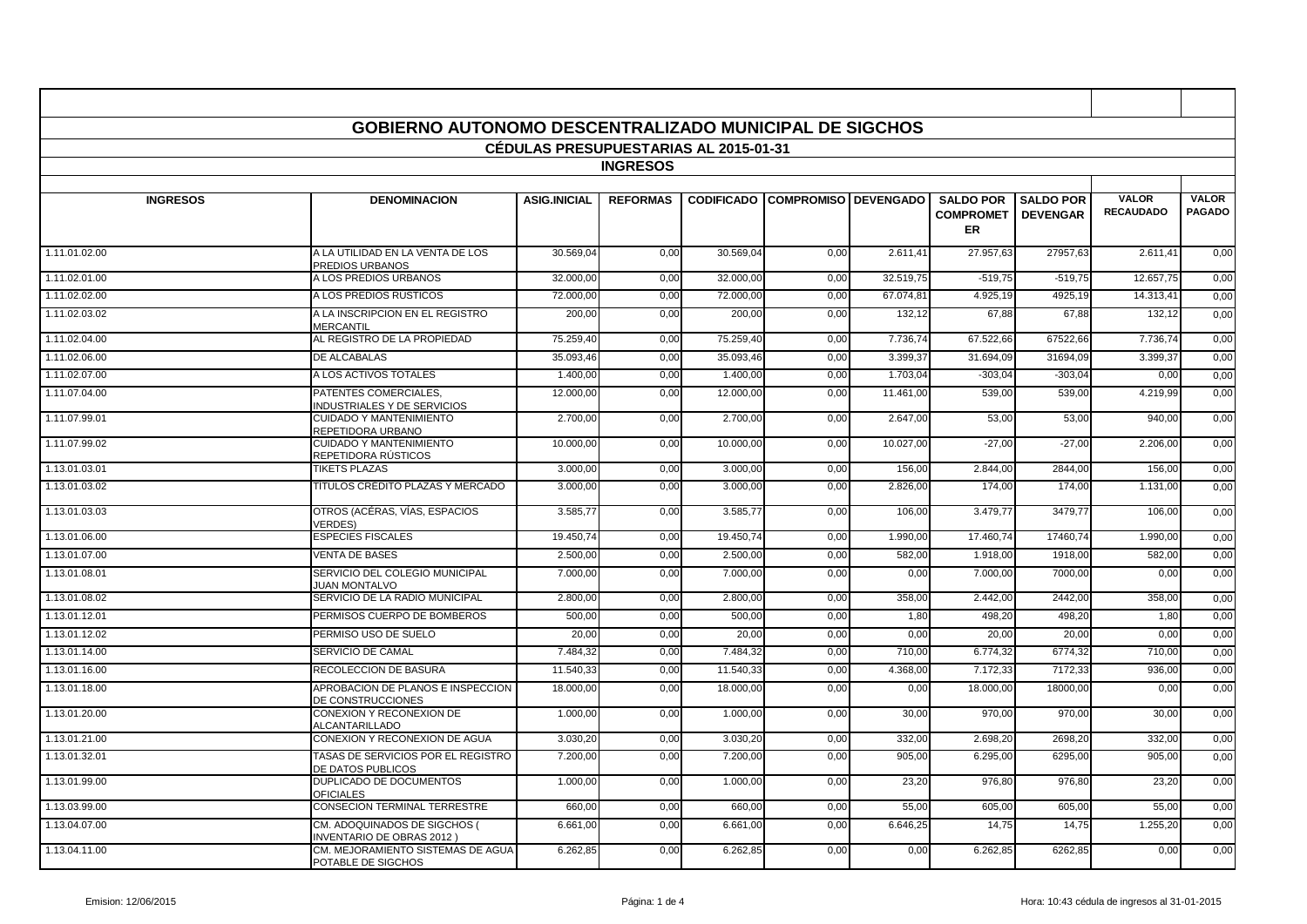| GOBIERNO AUTONOMO DESCENTRALIZADO MUNICIPAL DE SIGCHOS |                                                                  |                     |                 |                   |                      |           |                                            |                                     |                                  |                               |
|--------------------------------------------------------|------------------------------------------------------------------|---------------------|-----------------|-------------------|----------------------|-----------|--------------------------------------------|-------------------------------------|----------------------------------|-------------------------------|
| <b>CÉDULAS PRESUPUESTARIAS AL 2015-01-31</b>           |                                                                  |                     |                 |                   |                      |           |                                            |                                     |                                  |                               |
| <b>INGRESOS</b>                                        |                                                                  |                     |                 |                   |                      |           |                                            |                                     |                                  |                               |
| <b>INGRESOS</b>                                        | <b>DENOMINACION</b>                                              | <b>ASIG.INICIAL</b> | <b>REFORMAS</b> | <b>CODIFICADO</b> | COMPROMISO DEVENGADO |           | <b>SALDO POR</b><br><b>COMPROMET</b><br>ER | <b>SALDO POR</b><br><b>DEVENGAR</b> | <b>VALOR</b><br><b>RECAUDADO</b> | <b>VALOR</b><br><b>PAGADO</b> |
| 1.11.01.02.00                                          | A LA UTILIDAD EN LA VENTA DE LOS<br>PREDIOS URBANOS              | 30.569.04           | 0.00            | 30.569.04         | 0.00                 | 2.611.41  | 27.957,63                                  | 27957.63                            | 2.611.41                         | 0,00                          |
| 1.11.02.01.00                                          | A LOS PREDIOS URBANOS                                            | 32.000,00           | 0,00            | 32.000,00         | 0,00                 | 32.519,75 | $-519,75$                                  | $-519,75$                           | 12.657,75                        | 0,00                          |
| 1.11.02.02.00                                          | A LOS PREDIOS RÚSTICOS                                           | 72.000,00           | 0,00            | 72.000,00         | 0,00                 | 67.074,81 | 4.925,19                                   | 4925,19                             | 14.313,4                         | 0,00                          |
| 1.11.02.03.02                                          | A LA INSCRIPCION EN EL REGISTRO<br><b>MERCANTIL</b>              | 200.00              | 0,00            | 200.00            | 0.00                 | 132,12    | 67.88                                      | 67,88                               | 132,12                           | 0,00                          |
| 1.11.02.04.00                                          | AL REGISTRO DE LA PROPIEDAD                                      | 75.259,40           | 0,00            | 75.259,40         | 0,00                 | 7.736,74  | 67.522,66                                  | 67522,66                            | 7.736,74                         | 0,00                          |
| 1.11.02.06.00                                          | <b>DE ALCABALAS</b>                                              | 35.093.46           | 0.00            | 35.093.46         | 0.00                 | 3.399.37  | 31.694.09                                  | 31694.09                            | 3.399.37                         | 0,00                          |
| 1.11.02.07.00                                          | A LOS ACTIVOS TOTALES                                            | 1.400,00            | 0,00            | 1.400,00          | 0,00                 | 1.703,04  | $-303,04$                                  | $-303,04$                           | 0,00                             | 0,00                          |
| 1.11.07.04.00                                          | PATENTES COMERCIALES.<br><b>INDUSTRIALES Y DE SERVICIOS</b>      | 12.000,00           | 0,00            | 12.000,00         | 0,00                 | 11.461,00 | 539,00                                     | 539,00                              | 4.219,99                         | 0,00                          |
| 1.11.07.99.01                                          | <b>CUIDADO Y MANTENIMIENTO</b><br>REPETIDORA URBANO              | 2.700,00            | 0,00            | 2.700,00          | 0.00                 | 2.647,00  | 53.00                                      | 53,00                               | 940.00                           | 0,00                          |
| 1.11.07.99.02                                          | <b>CUIDADO Y MANTENIMIENTO</b><br>REPETIDORA RÚSTICOS            | 10.000,00           | 0,00            | 10.000,00         | 0,00                 | 10.027,00 | $-27.00$                                   | $-27,00$                            | 2.206,00                         | 0,00                          |
| 1.13.01.03.01                                          | <b>TIKETS PLAZAS</b>                                             | 3.000,00            | 0,00            | 3.000,00          | 0,00                 | 156,00    | 2.844,00                                   | 2844,00                             | 156,00                           | 0,00                          |
| 1.13.01.03.02                                          | TÍTULOS CRÉDITO PLAZAS Y MERCADO                                 | 3.000,00            | 0,00            | 3.000,00          | 0,00                 | 2.826,00  | 174,00                                     | 174,00                              | 1.131,00                         | 0,00                          |
| 1.13.01.03.03                                          | OTROS (ACÉRAS, VÍAS, ESPACIOS<br><b>VERDES)</b>                  | 3.585,77            | 0,00            | 3.585,7           | 0,00                 | 106,00    | 3.479,77                                   | 3479,77                             | 106,00                           | 0,00                          |
| 1.13.01.06.00                                          | <b>ESPECIES FISCALES</b>                                         | 19.450,74           | 0,00            | 19.450,74         | 0,00                 | 1.990,00  | 17.460,74                                  | 17460,74                            | 1.990,00                         | 0,00                          |
| 1.13.01.07.00                                          | <b>VENTA DE BASES</b>                                            | 2.500.00            | 0.00            | 2.500.00          | 0.00                 | 582.00    | 1.918.00                                   | 1918.00                             | 582.00                           | 0,00                          |
| 1.13.01.08.01                                          | SERVICIO DEL COLEGIO MUNICIPAL<br><b>JUAN MONTALVO</b>           | 7.000,00            | 0,00            | 7.000,00          | 0,00                 | 0,00      | 7.000,00                                   | 7000,00                             | 0,00                             | 0,00                          |
| 1.13.01.08.02                                          | SERVICIO DE LA RADIO MUNICIPAL                                   | 2.800.00            | 0.00            | 2.800,00          | 0.00                 | 358,00    | 2.442.00                                   | 2442.00                             | 358.00                           | 0,00                          |
| 1.13.01.12.01                                          | PERMISOS CUERPO DE BOMBEROS                                      | 500,00              | 0,00            | 500,00            | 0,00                 | 1,80      | 498,20                                     | 498,20                              | 1,80                             | 0,00                          |
| 1.13.01.12.02                                          | PERMISO USO DE SUELO                                             | 20.00               | 0,00            | 20,00             | 0,00                 | 0,00      | 20.00                                      | 20,00                               | 0,00                             | 0,00                          |
| 1.13.01.14.00                                          | SERVICIO DE CAMAL                                                | 7.484,32            | 0,00            | 7.484.32          | 0,00                 | 710,00    | 6.774.32                                   | 6774.32                             | 710,00                           | 0,00                          |
| 1.13.01.16.00                                          | RECOLECCION DE BASURA                                            | 11.540,33           | 0,00            | 11.540,3          | 0,00                 | 4.368,00  | 7.172,33                                   | 7172,33                             | 936,00                           | 0,00                          |
| 1.13.01.18.00                                          | APROBACION DE PLANOS E INSPECCION<br>DE CONSTRUCCIONES           | 18.000,00           | 0,00            | 18.000,00         | 0,00                 | 0,00      | 18.000,00                                  | 18000,00                            | 0,00                             | 0,00                          |
| 1.13.01.20.00                                          | CONEXION Y RECONEXION DE<br><b>ALCANTARILLADO</b>                | 1.000,00            | 0,00            | 1.000,00          | 0,00                 | 30,00     | 970.00                                     | 970,00                              | 30,00                            | 0,00                          |
| 1.13.01.21.00                                          | CONEXION Y RECONEXION DE AGUA                                    | 3.030.20            | 0,00            | 3.030.20          | 0,00                 | 332,00    | 2.698.20                                   | 2698.20                             | 332,00                           | 0,00                          |
| 1.13.01.32.01                                          | TASAS DE SERVICIOS POR EL REGISTRO<br>DE DATOS PUBLICOS          | 7.200.00            | 0,00            | 7.200,00          | 0,00                 | 905,00    | 6.295.00                                   | 6295,00                             | 905,00                           | 0,00                          |
| 1.13.01.99.00                                          | DUPLICADO DE DOCUMENTOS<br><b>OFICIALES</b>                      | 1.000,00            | 0,00            | 1.000,00          | 0,00                 | 23,20     | 976,80                                     | 976,80                              | 23,20                            | 0,00                          |
| 1.13.03.99.00                                          | CONSECION TERMINAL TERRESTRE                                     | 660,00              | 0,00            | 660,00            | 0,00                 | 55,00     | 605,00                                     | 605,00                              | 55,00                            | 0,00                          |
| 1.13.04.07.00                                          | CM. ADOQUINADOS DE SIGCHOS (<br><b>INVENTARIO DE OBRAS 2012)</b> | 6.661,00            | 0,00            | 6.661,00          | 0,00                 | 6.646,25  | 14,75                                      | 14,75                               | 1.255,20                         | 0,00                          |
| 1.13.04.11.00                                          | CM. MEJORAMIENTO SISTEMAS DE AGUA<br>POTABLE DE SIGCHOS          | 6.262.85            | 0.00            | 6.262.85          | 0.00                 | 0.00      | 6.262.85                                   | 6262.85                             | 0.00                             | 0,00                          |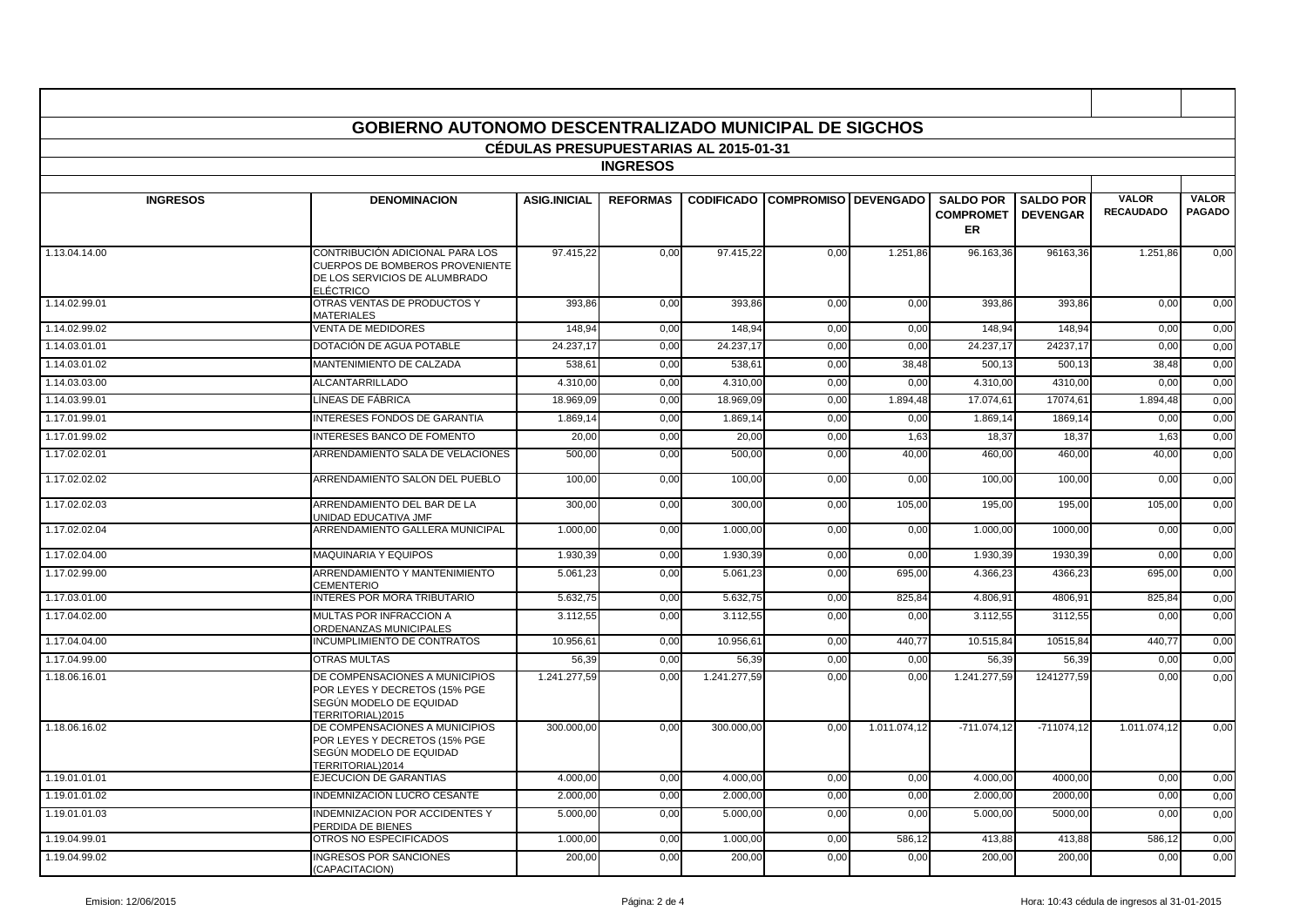|                                              | GOBIERNO AUTONOMO DESCENTRALIZADO MUNICIPAL DE SIGCHOS                                                                         |                     |                 |                   |                             |              |                                            |                                     |                                  |                               |  |
|----------------------------------------------|--------------------------------------------------------------------------------------------------------------------------------|---------------------|-----------------|-------------------|-----------------------------|--------------|--------------------------------------------|-------------------------------------|----------------------------------|-------------------------------|--|
|                                              |                                                                                                                                |                     |                 |                   |                             |              |                                            |                                     |                                  |                               |  |
| <b>CEDULAS PRESUPUESTARIAS AL 2015-01-31</b> |                                                                                                                                |                     |                 |                   |                             |              |                                            |                                     |                                  |                               |  |
| <b>INGRESOS</b>                              |                                                                                                                                |                     |                 |                   |                             |              |                                            |                                     |                                  |                               |  |
| <b>INGRESOS</b>                              | <b>DENOMINACION</b>                                                                                                            | <b>ASIG.INICIAL</b> | <b>REFORMAS</b> | <b>CODIFICADO</b> | <b>COMPROMISO DEVENGADO</b> |              | <b>SALDO POR</b><br><b>COMPROMET</b><br>ER | <b>SALDO POR</b><br><b>DEVENGAR</b> | <b>VALOR</b><br><b>RECAUDADO</b> | <b>VALOR</b><br><b>PAGADO</b> |  |
| 1.13.04.14.00                                | CONTRIBUCIÓN ADICIONAL PARA LOS<br><b>CUERPOS DE BOMBEROS PROVENIENTE</b><br>DE LOS SERVICIOS DE ALUMBRADO<br><b>ELÉCTRICO</b> | 97.415,22           | 0,00            | 97.415,22         | 0,00                        | 1.251,86     | 96.163,36                                  | 96163,36                            | 1.251,86                         | 0,00                          |  |
| 1.14.02.99.01                                | OTRAS VENTAS DE PRODUCTOS Y<br><b>MATERIALES</b>                                                                               | 393,86              | 0,00            | 393,86            | 0,00                        | 0,00         | 393,86                                     | 393,86                              | 0,00                             | 0,00                          |  |
| 1.14.02.99.02                                | <b>VENTA DE MEDIDORES</b>                                                                                                      | 148.94              | 0,00            | 148.94            | 0,00                        | 0,00         | 148.94                                     | 148.94                              | 0,00                             | 0,00                          |  |
| 1.14.03.01.01                                | DOTACIÓN DE AGUA POTABLE                                                                                                       | 24.237,17           | 0,00            | 24.237,17         | 0,00                        | 0,00         | 24.237,17                                  | 24237,17                            | 0,00                             | 0,00                          |  |
| 1.14.03.01.02                                | <b>MANTENIMIENTO DE CALZADA</b>                                                                                                | 538.61              | 0,00            | 538.61            | 0,00                        | 38,48        | 500.13                                     | 500.13                              | 38,48                            | 0,00                          |  |
| 1.14.03.03.00                                | <b>ALCANTARRILLADO</b>                                                                                                         | 4.310,00            | 0,00            | 4.310,00          | 0,00                        | 0,00         | 4.310,00                                   | 4310,00                             | 0,00                             | 0,00                          |  |
| 1.14.03.99.01                                | LÍNEAS DE FÁBRICA                                                                                                              | 18.969,09           | 0,00            | 18.969,09         | 0,00                        | 1.894,48     | 17.074,61                                  | 17074,6                             | 1.894,48                         | 0,00                          |  |
| 1.17.01.99.01                                | INTERESES FONDOS DE GARANTIA                                                                                                   | 1.869,14            | 0,00            | 1.869,1           | 0,00                        | 0,00         | 1.869,14                                   | 1869,1                              | 0,00                             | 0,00                          |  |
| 1.17.01.99.02                                | <b>INTERESES BANCO DE FOMENTO</b>                                                                                              | 20,00               | 0,00            | 20,00             | 0,00                        | 1,63         | 18,37                                      | 18,37                               | 1,63                             | 0,00                          |  |
| 1.17.02.02.01                                | ARRENDAMIENTO SALA DE VELACIONES                                                                                               | 500.00              | 0.00            | 500.00            | 0.00                        | 40,00        | 460.00                                     | 460.00                              | 40,00                            | 0,00                          |  |
| 1.17.02.02.02                                | ARRENDAMIENTO SALON DEL PUEBLO                                                                                                 | 100.00              | 0.00            | 100.00            | 0.00                        | 0.00         | 100.00                                     | 100,00                              | 0.00                             | 0.00                          |  |
| 1.17.02.02.03                                | ARRENDAMIENTO DEL BAR DE LA<br>UNIDAD EDUCATIVA JMF                                                                            | 300,00              | 0,00            | 300,00            | 0,00                        | 105,00       | 195,00                                     | 195,00                              | 105,00                           | 0,00                          |  |
| 1.17.02.02.04                                | ARRENDAMIENTO GALLERA MUNICIPAL                                                                                                | 1.000,00            | 0,00            | 1.000,00          | 0.00                        | 0,00         | 1.000,00                                   | 1000,00                             | 0,00                             | 0,00                          |  |
| 1.17.02.04.00                                | <b>MAQUINARIA Y EQUIPOS</b>                                                                                                    | 1.930,39            | 0,00            | 1.930,39          | 0,00                        | 0,00         | 1.930,39                                   | 1930,39                             | 0,00                             | 0,00                          |  |
| 1.17.02.99.00                                | ARRENDAMIENTO Y MANTENIMIENTO<br>CEMENTERIO                                                                                    | 5.061,23            | 0,00            | 5.061,23          | 0,00                        | 695,00       | 4.366,23                                   | 4366,23                             | 695,00                           | 0,00                          |  |
| 1.17.03.01.00                                | <b>INTERES POR MORA TRIBUTARIO</b>                                                                                             | 5.632,75            | 0,00            | 5.632,75          | 0,00                        | 825,84       | 4.806.91                                   | 4806,91                             | 825,84                           | 0,00                          |  |
| 1.17.04.02.00                                | <b>MULTAS POR INFRACCION A</b><br>ORDENANZAS MUNICIPALES                                                                       | 3.112.55            | 0.00            | 3.112.55          | 0.00                        | 0.00         | 3.112.55                                   | 3112.55                             | 0.00                             | 0,00                          |  |
| 1.17.04.04.00                                | INCUMPLIMIENTO DE CONTRATOS                                                                                                    | 10.956,61           | 0,00            | 10.956,61         | 0.00                        | 440.77       | 10.515.84                                  | 10515.84                            | 440,77                           | 0,00                          |  |
| 1.17.04.99.00                                | <b>OTRAS MULTAS</b>                                                                                                            | 56,39               | 0,00            | 56,39             | 0,00                        | 0,00         | 56,39                                      | 56,39                               | 0,00                             | 0,00                          |  |
| 1.18.06.16.01                                | DE COMPENSACIONES A MUNICIPIOS<br>POR LEYES Y DECRETOS (15% PGE<br>SEGÚN MODELO DE EQUIDAD<br>TERRITORIAL)2015                 | 1.241.277,59        | 0.00            | 1.241.277,59      | 0.00                        | 0.00         | 1.241.277.59                               | 1241277,59                          | 0,00                             | 0,00                          |  |
| 1.18.06.16.02                                | DE COMPENSACIONES A MUNICIPIOS<br>POR LEYES Y DECRETOS (15% PGE<br>SEGÚN MODELO DE EQUIDAD<br>TERRITORIAL)2014                 | 300.000,00          | 0,00            | 300.000,00        | 0,00                        | 1.011.074,12 | $-711.074,12$                              | $-711074,12$                        | 1.011.074,12                     | 0,00                          |  |
| 1.19.01.01.01                                | EJECUCION DE GARANTIAS                                                                                                         | 4.000,00            | 0,00            | 4.000,00          | 0,00                        | 0,00         | 4.000,00                                   | 4000,00                             | 0,00                             | 0,00                          |  |
| 1.19.01.01.02                                | INDEMNIZACIÓN LUCRO CESANTE                                                                                                    | 2.000,00            | 0,00            | 2.000,0           | 0,00                        | 0,00         | 2.000,00                                   | 2000,00                             | 0,00                             | 0,00                          |  |
| 1.19.01.01.03                                | <b>INDEMNIZACION POR ACCIDENTES Y</b><br>PERDIDA DE BIENES                                                                     | 5.000,00            | 0,00            | 5.000,00          | 0,00                        | 0,00         | 5.000,00                                   | 5000,00                             | 0,00                             | 0,00                          |  |
| 1.19.04.99.01                                | OTROS NO ESPECIFICADOS                                                                                                         | 1.000.00            | 0,00            | 1.000.00          | 0.00                        | 586,12       | 413.88                                     | 413,88                              | 586,12                           | 0,00                          |  |
| 1.19.04.99.02                                | <b>INGRESOS POR SANCIONES</b><br>(CAPACITACION)                                                                                | 200.00              | 0.00            | 200.00            | 0.00                        | 0.00         | 200.00                                     | 200,00                              | 0,00                             | 0,00                          |  |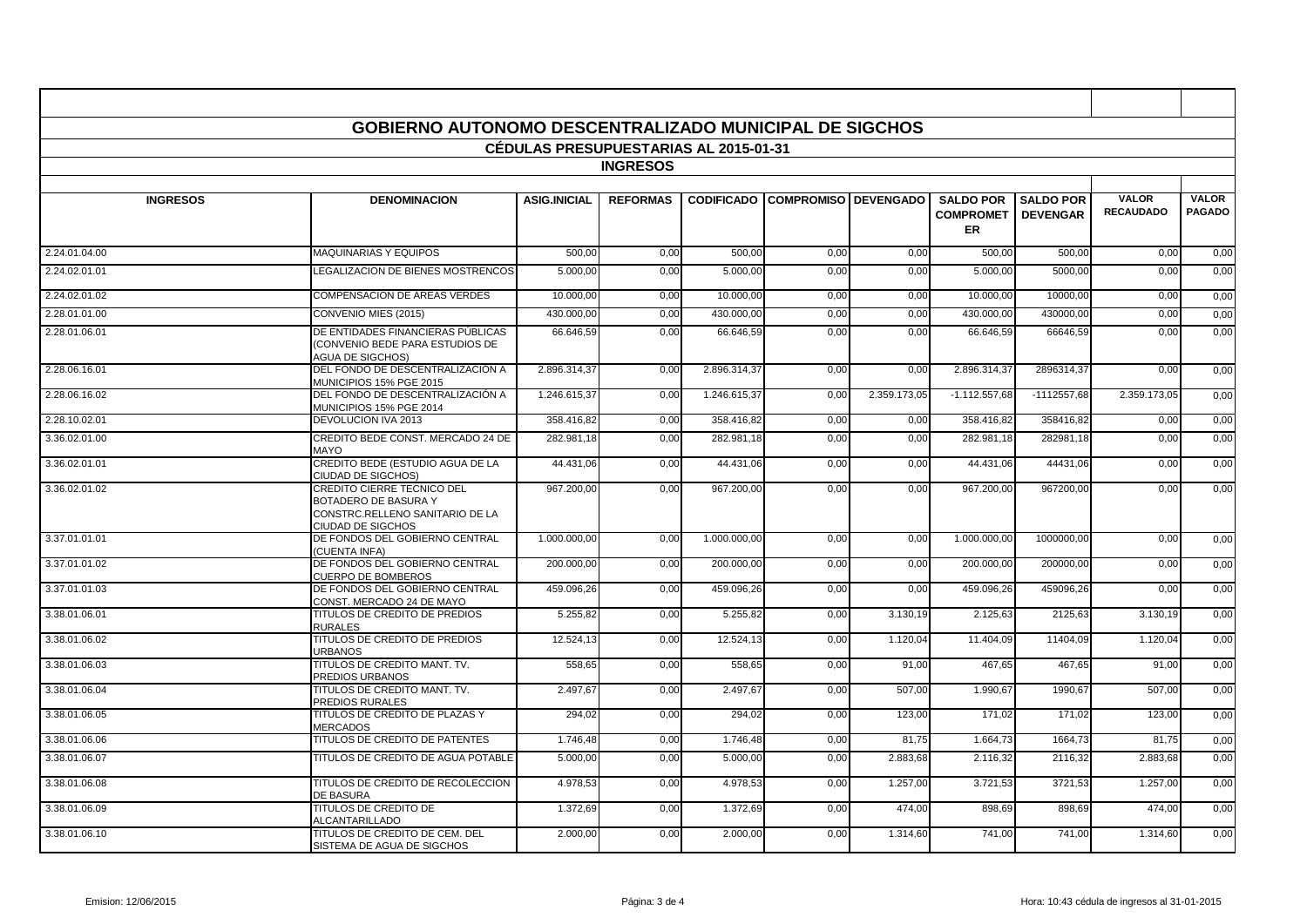| <b>GOBIERNO AUTONOMO DESCENTRALIZADO MUNICIPAL DE SIGCHOS</b> |                                                                                                            |                     |                 |                   |                             |              |                                            |                                     |                                  |                               |  |
|---------------------------------------------------------------|------------------------------------------------------------------------------------------------------------|---------------------|-----------------|-------------------|-----------------------------|--------------|--------------------------------------------|-------------------------------------|----------------------------------|-------------------------------|--|
| CÉDULAS PRESUPUESTARIAS AL 2015-01-31                         |                                                                                                            |                     |                 |                   |                             |              |                                            |                                     |                                  |                               |  |
| <b>INGRESOS</b>                                               |                                                                                                            |                     |                 |                   |                             |              |                                            |                                     |                                  |                               |  |
| <b>INGRESOS</b>                                               | <b>DENOMINACION</b>                                                                                        | <b>ASIG.INICIAL</b> | <b>REFORMAS</b> | <b>CODIFICADO</b> | <b>COMPROMISO DEVENGADO</b> |              | <b>SALDO POR</b><br><b>COMPROMET</b><br>ER | <b>SALDO POR</b><br><b>DEVENGAR</b> | <b>VALOR</b><br><b>RECAUDADO</b> | <b>VALOR</b><br><b>PAGADO</b> |  |
| 2.24.01.04.00                                                 | <b>MAQUINARIAS Y EQUIPOS</b>                                                                               | 500,00              | 0,00            | 500,00            | 0,00                        | 0,00         | 500,00                                     | 500,00                              | 0,00                             | 0,00                          |  |
| 2.24.02.01.01                                                 | LEGALIZACION DE BIENES MOSTRENCOS                                                                          | 5.000.00            | 0,00            | 5.000,00          | 0,00                        | 0,00         | 5.000.00                                   | 5000.00                             | 0,00                             | 0,00                          |  |
| 2.24.02.01.02                                                 | <b>COMPENSACION DE AREAS VERDES</b>                                                                        | 10.000,00           | 0,00            | 10.000.00         | 0,00                        | 0,00         | 10.000.00                                  | 10000.00                            | 0,00                             | 0,00                          |  |
| 2.28.01.01.00                                                 | CONVENIO MIES (2015)                                                                                       | 430.000,00          | 0,00            | 430.000,00        | 0,00                        | 0,00         | 430.000,00                                 | 430000,00                           | 0,00                             | 0,00                          |  |
| 2.28.01.06.01                                                 | DE ENTIDADES FINANCIERAS PÚBLICAS<br>(CONVENIO BEDE PARA ESTUDIOS DE<br><b>AGUA DE SIGCHOS)</b>            | 66.646,59           | 0,00            | 66.646,59         | 0,00                        | 0,00         | 66.646,59                                  | 66646,59                            | 0,00                             | 0,00                          |  |
| 2.28.06.16.01                                                 | DEL FONDO DE DESCENTRALIZACIÓN A<br>MUNICIPIOS 15% PGE 2015                                                | 2.896.314.37        | 0.00            | 2.896.314.37      | 0.00                        | 0.00         | 2.896.314.37                               | 2896314.37                          | 0,00                             | 0,00                          |  |
| 2.28.06.16.02                                                 | DEL FONDO DE DESCENTRALIZACIÓN A<br>MUNICIPIOS 15% PGE 2014                                                | 1.246.615,37        | 0,00            | 1.246.615,37      | 0,00                        | 2.359.173,05 | $-1.112.557.68$                            | $-1112557,68$                       | 2.359.173,05                     | 0,00                          |  |
| 2.28.10.02.01                                                 | DEVOLUCION IVA 2013                                                                                        | 358.416,82          | 0,00            | 358.416,82        | 0,00                        | 0,00         | 358.416,82                                 | 358416,82                           | 0,00                             | 0,00                          |  |
| 3.36.02.01.00                                                 | CREDITO BEDE CONST. MERCADO 24 DE<br>MAYO                                                                  | 282.981,18          | 0,00            | 282.981,18        | 0,00                        | 0,00         | 282.981,18                                 | 282981,18                           | 0,00                             | 0,00                          |  |
| 3.36.02.01.01                                                 | CREDITO BEDE (ESTUDIO AGUA DE LA<br>CIUDAD DE SIGCHOS)                                                     | 44.431.06           | 0,00            | 44.431.06         | 0,00                        | 0,00         | 44.431.06                                  | 44431.06                            | 0,00                             | 0,00                          |  |
| 3.36.02.01.02                                                 | CREDITO CIERRE TECNICO DEL<br>BOTADERO DE BASURA Y<br>CONSTRC.RELLENO SANITARIO DE LA<br>CIUDAD DE SIGCHOS | 967.200,00          | 0,00            | 967.200,00        | 0,00                        | 0,00         | 967.200,00                                 | 967200,00                           | 0,00                             | 0,00                          |  |
| 3.37.01.01.01                                                 | DE FONDOS DEL GOBIERNO CENTRAL<br>(CUENTA INFA)                                                            | 1.000.000,00        | 0,00            | 1.000.000,00      | 0,00                        | 0,00         | 1.000.000,00                               | 1000000,00                          | 0,00                             | 0,00                          |  |
| 3.37.01.01.02                                                 | DE FONDOS DEL GOBIERNO CENTRAL<br><b>CUERPO DE BOMBEROS</b>                                                | 200.000.00          | 0,00            | 200.000.00        | 0.00                        | 0,00         | 200.000.00                                 | 200000.00                           | 0,00                             | 0,00                          |  |
| 3.37.01.01.03                                                 | DE FONDOS DEL GOBIERNO CENTRAL<br>CONST. MERCADO 24 DE MAYO                                                | 459.096.26          | 0,00            | 459.096.26        | 0,00                        | 0,00         | 459.096,26                                 | 459096.26                           | 0,00                             | 0,00                          |  |
| 3.38.01.06.01                                                 | TITULOS DE CREDITO DE PREDIOS<br><b>RURALES</b>                                                            | 5.255,82            | 0,00            | 5.255,82          | 0,00                        | 3.130,19     | 2.125,63                                   | 2125,63                             | 3.130,19                         | 0,00                          |  |
| 3.38.01.06.02                                                 | TITULOS DE CREDITO DE PREDIOS<br><b>URBANOS</b>                                                            | 12.524,13           | 0,00            | 12.524,13         | 0,00                        | 1.120,04     | 11.404,09                                  | 11404,09                            | 1.120,04                         | 0,00                          |  |
| 3.38.01.06.03                                                 | TITULOS DE CREDITO MANT. TV.<br>PREDIOS URBANOS                                                            | 558,65              | 0,00            | 558,65            | 0,00                        | 91,00        | 467,65                                     | 467,65                              | 91,00                            | 0,00                          |  |
| 3.38.01.06.04                                                 | TITULOS DE CREDITO MANT. TV.<br>PREDIOS RURALES                                                            | 2.497,67            | 0,00            | 2.497,67          | 0,00                        | 507,00       | 1.990.67                                   | 1990,67                             | 507,00                           | 0,00                          |  |
| 3.38.01.06.05                                                 | TITULOS DE CREDITO DE PLAZAS Y<br><b>MERCADOS</b>                                                          | 294,02              | 0,00            | 294,02            | 0,00                        | 123,00       | 171.02                                     | 171.02                              | 123,00                           | 0,00                          |  |
| 3.38.01.06.06                                                 | TITULOS DE CREDITO DE PATENTES                                                                             | 1.746.48            | 0,00            | 1.746.48          | 0,00                        | 81,75        | 1.664.73                                   | 1664.73                             | 81.75                            | 0,00                          |  |
| 3.38.01.06.07                                                 | TITULOS DE CREDITO DE AGUA POTABLE                                                                         | 5.000,00            | 0,00            | 5.000,00          | 0,00                        | 2.883,68     | 2.116,32                                   | 2116,32                             | 2.883,68                         | 0,00                          |  |
| 3.38.01.06.08                                                 | TITULOS DE CREDITO DE RECOLECCION<br>DE BASURA                                                             | 4.978,53            | 0,00            | 4.978,53          | 0,00                        | 1.257,00     | 3.721,53                                   | 3721,53                             | 1.257,00                         | 0,00                          |  |
| 3.38.01.06.09                                                 | TITULOS DE CREDITO DE<br>ALCANTARILLADO                                                                    | 1.372,69            | 0,00            | 1.372,69          | 0.00                        | 474,00       | 898.69                                     | 898,69                              | 474.00                           | 0,00                          |  |
| 3.38.01.06.10                                                 | TITULOS DE CREDITO DE CEM. DEL<br>SISTEMA DE AGUA DE SIGCHOS                                               | 2.000,00            | 0,00            | 2.000,00          | 0,00                        | 1.314,60     | 741,00                                     | 741,00                              | 1.314,60                         | 0,00                          |  |